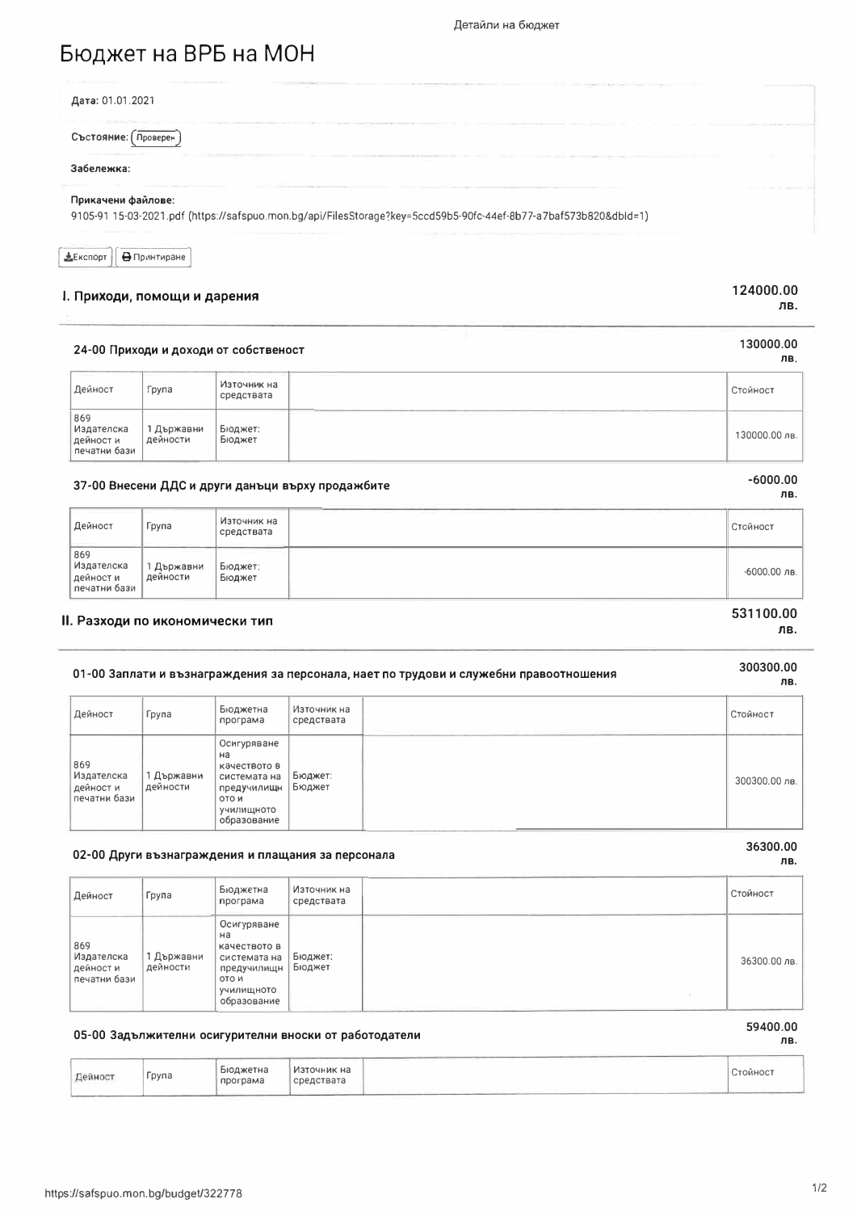# Бюджет на ВРБ на МОН

| Дата: 01.01.2021       |                                                                                                                  |  |
|------------------------|------------------------------------------------------------------------------------------------------------------|--|
| Състояние:<br>Проверен |                                                                                                                  |  |
| Забележка:             |                                                                                                                  |  |
| Прикачени файлове:     | 9105-91 15-03-2021.pdf (https://safspuo.mon.bg/api/FilesStorage?key=5ccd59b5-90fc-44ef-8b77-a7baf573b820&dbid=1) |  |

 $E$ кспорт **В** Принтиране

#### I. Приходи, помощи и дарения

#### 124000.00 ЛB.

130000.00

ЛВ,

### 24-00 Приходи и доходи от собственост

| Дейност                                            | Група                  | Източник на<br>средствата | Стойност      |
|----------------------------------------------------|------------------------|---------------------------|---------------|
| 869<br>  Издателска<br>  дейност и<br>печатни бази | 1 Държавни<br>дейности | Бюджет:<br>Бюджет         | 130000.00 лв. |

### 37-00 Внесени ДДС и други данъци върху продажбите

| Дейност                                       | Група                | Източник на<br>средствата | Стойност       |
|-----------------------------------------------|----------------------|---------------------------|----------------|
| 869<br>Издателска<br>дейности<br>печатни бази | Държавни<br>дейности | Бюджет:<br>Бюджет         | $-6000.00$ лв. |

#### II. Разходи по икономически тип

### 01-00 Заплати и възнаграждения за персонала, нает по трудови и служебни правоотношения

#### Източник на Бюджетна Дейност Група Стойност програма средствата Осигуряване  $H<sub>a</sub>$ 869 качеството в издателска 1 Държавни Бюджет: системата на 300300.00 лв. дейност и дейности предучилищн Бюджет печатни бази ото и училищното<br>образование

#### 02-00 Други възнаграждения и плащания за персонала

| Дейност                                        | Група                  | Бюджетна<br>програма                                                                                   | Източник на<br>средствата | Стойност     |
|------------------------------------------------|------------------------|--------------------------------------------------------------------------------------------------------|---------------------------|--------------|
| 869<br>Издателска<br>дейност и<br>печатни бази | 1 Държавни<br>дейности | Осигуряване<br>на<br>качеството в<br>системата на<br>предучилищн<br>ОТО И<br>училищното<br>образование | Бюджет:<br>Бюджет         | 36300.00 лв. |

### 05-00 Задължителни осигурителни вноски от работодатели

| Бюджетна<br>Група<br>Дейност<br>средствата<br>програма<br>Sales and the con- | Стойност |
|------------------------------------------------------------------------------|----------|
|------------------------------------------------------------------------------|----------|

### https://safspuo.mon.bg/budget/322778

36300.00

59400.00

ЛВ.

лв.

## $-6000.00$

### ЛR.

531100.00

300300.00

ЛB.

лв.